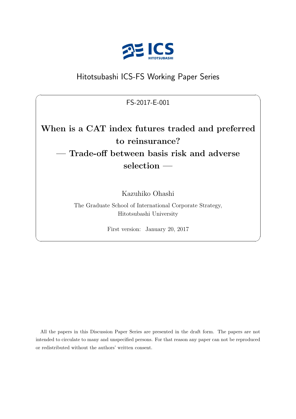

## Hitotsubashi ICS-FS Working Paper Series

FS-2017-E-001

 $\sqrt{2\pi}$ 

# **When is a CAT index futures traded and preferred to reinsurance? — Trade-off between basis risk and adverse selection —**

Kazuhiko Ohashi

The Graduate School of International Corporate Strategy, Hitotsubashi University

First version: January 20, 2017

✒ ✑

All the papers in this Discussion Paper Series are presented in the draft form. The papers are not intended to circulate to many and unspecified persons. For that reason any paper can not be reproduced or redistributed without the authors' written consent.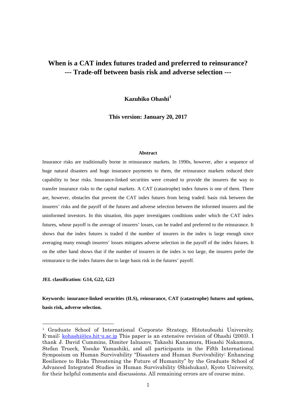## **When is a CAT index futures traded and preferred to reinsurance? --- Trade-off between basis risk and adverse selection ---**

**Kazuhiko Ohashi[1](#page-1-0)**

**This version: January 20, 2017**

#### **Abstract**

Insurance risks are traditionally borne in reinsurance markets. In 1990s, however, after a sequence of huge natural disasters and huge insurance payments to them, the reinsurance markets reduced their capability to bear risks. Insurance-linked securities were created to provide the insurers the way to transfer insurance risks to the capital markets. A CAT (catastrophe) index futures is one of them. There are, however, obstacles that prevent the CAT index futures from being traded: basis risk between the insurers' risks and the payoff of the futures and adverse selection between the informed insurers and the uninformed investors. In this situation, this paper investigates conditions under which the CAT index futures, whose payoff is the average of insurers' losses, can be traded and preferred to the reinsurance. It shows that the index futures is traded if the number of insurers in the index is large enough since averaging many enough insurers' losses mitigates adverse selection in the payoff of the index futures. It on the other hand shows that if the number of insurers in the index is too large, the insurers prefer the reinsurance to the index futures due to large basis risk in the futures' payoff.

**JEL classification: G14, G22, G23**

**Keywords: insurance-linked securities (ILS), reinsurance, CAT (catastrophe) futures and options, basis risk, adverse selection.**

<span id="page-1-0"></span> <sup>1</sup> Graduate School of International Corporate Strategy, Hitotsubashi University. E-mail: [kohashi@ics.hit-u.ac.jp](mailto:kohashi@ics.hit-u.ac.jp) This paper is an extensive revision of Ohashi (2003). I thank J. David Cummins, Dimiter Ialnazov, Takashi Kanamura, Hisashi Nakamura, Stefan Trueck, Yosuke Yamashiki, and all participants in the Fifth International Symposium on Human Survivability "Disasters and Human Survivability: Enhancing Resilience to Risks Threatening the Future of Humanity" by the Graduate School of Advanced Integrated Studies in Human Survivability (Shishukan), Kyoto University, for their helpful comments and discussions. All remaining errors are of course mine.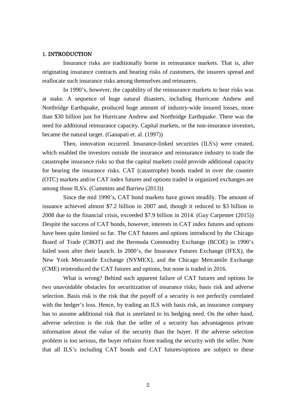#### 1. INTRODUCTION

Insurance risks are traditionally borne in reinsurance markets. That is, after originating insurance contracts and bearing risks of customers, the insurers spread and reallocate such insurance risks among themselves and reinsurers.

In 1990's, however, the capability of the reinsurance markets to bear risks was at stake. A sequence of huge natural disasters, including Hurricane Andrew and Northridge Earthquake, produced huge amount of industry-wide insured losses, more than \$30 billion just for Hurricane Andrew and Northridge Earthquake. There was the need for additional reinsurance capacity. Capital markets, or the non-insurance investors, became the natural target. (Ganapati et. al. (1997))

Then, innovation occurred. Insurance-linked securities (ILS's) were created, which enabled the investors outside the insurance and reinsurance industry to trade the catastrophe insurance risks so that the capital markets could provide additional capacity for bearing the insurance risks. CAT (catastrophe) bonds traded in over the counter (OTC) markets and/or CAT index futures and options traded in organized exchanges are among those ILS's. (Cummins and Barrieu (2013))

Since the mid 1990's, CAT bond markets have grown steadily. The amount of issuance achieved almost \$7.2 billion in 2007 and, though it reduced to \$3 billion in 2008 due to the financial crisis, exceeded \$7.9 billion in 2014. (Guy Carpenter (2015)) Despite the success of CAT bonds, however, interests in CAT index futures and options have been quite limited so far. The CAT futures and options introduced by the Chicago Board of Trade (CBOT) and the Bermuda Commodity Exchange (BCOE) in 1990's failed soon after their launch. In 2000's, the Insurance Futures Exchange (IFEX), the New York Mercantile Exchange (NYMEX), and the Chicago Mercantile Exchange (CME) reintroduced the CAT futures and options, but none is traded in 2016.

What is wrong? Behind such apparent failure of CAT futures and options lie two unavoidable obstacles for securitization of insurance risks; basis risk and adverse selection. Basis risk is the risk that the payoff of a security is not perfectly correlated with the hedger's loss. Hence, by trading an ILS with basis risk, an insurance company has to assume additional risk that is unrelated to its hedging need. On the other hand, adverse selection is the risk that the seller of a security has advantageous private information about the value of the security than the buyer. If the adverse selection problem is too serious, the buyer refrains from trading the security with the seller. Note that all ILS's including CAT bonds and CAT futures/options are subject to these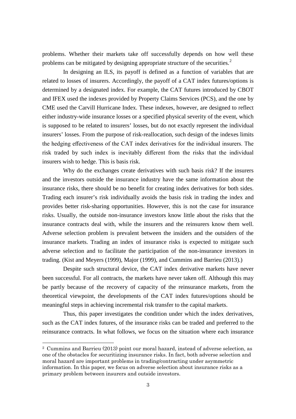problems. Whether their markets take off successfully depends on how well these problems can be mitigated by designing appropriate structure of the securities.<sup>[2](#page-3-0)</sup>

In designing an ILS, its payoff is defined as a function of variables that are related to losses of insurers. Accordingly, the payoff of a CAT index futures/options is determined by a designated index. For example, the CAT futures introduced by CBOT and IFEX used the indexes provided by Property Claims Services (PCS), and the one by CME used the Carvill Hurricane Index. These indexes, however, are designed to reflect either industry-wide insurance losses or a specified physical severity of the event, which is supposed to be related to insurers' losses, but do not exactly represent the individual insurers' losses. From the purpose of risk-reallocation, such design of the indexes limits the hedging effectiveness of the CAT index derivatives for the individual insurers. The risk traded by such index is inevitably different from the risks that the individual insurers wish to hedge. This is basis risk.

Why do the exchanges create derivatives with such basis risk? If the insurers and the investors outside the insurance industry have the same information about the insurance risks, there should be no benefit for creating index derivatives for both sides. Trading each insurer's risk individually avoids the basis risk in trading the index and provides better risk-sharing opportunities. However, this is not the case for insurance risks. Usually, the outside non-insurance investors know little about the risks that the insurance contracts deal with, while the insurers and the reinsurers know them well. Adverse selection problem is prevalent between the insiders and the outsiders of the insurance markets. Trading an index of insurance risks is expected to mitigate such adverse selection and to facilitate the participation of the non-insurance investors in trading. (Kist and Meyers (1999), Major (1999), and Cummins and Barrieu (2013).)

Despite such structural device, the CAT index derivative markets have never been successful. For all contracts, the markets have never taken off. Although this may be partly because of the recovery of capacity of the reinsurance markets, from the theoretical viewpoint, the developments of the CAT index futures/options should be meaningful steps in achieving incremental risk transfer to the capital markets.

Thus, this paper investigates the condition under which the index derivatives, such as the CAT index futures, of the insurance risks can be traded and preferred to the reinsurance contracts. In what follows, we focus on the situation where each insurance

<span id="page-3-0"></span> <sup>2</sup> Cummins and Barrieu (2013) point our moral hazard, instead of adverse selection, as one of the obstacles for securitizing insurance risks. In fact, both adverse selection and moral hazard are important problems in trading/contracting under asymmetric information. In this paper, we focus on adverse selection about insurance risks as a primary problem between insurers and outside investors.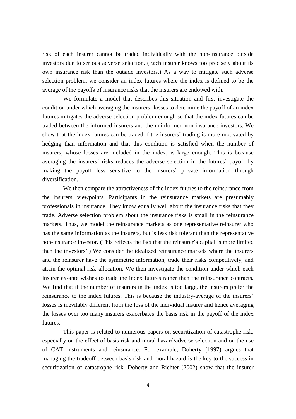risk of each insurer cannot be traded individually with the non-insurance outside investors due to serious adverse selection. (Each insurer knows too precisely about its own insurance risk than the outside investors.) As a way to mitigate such adverse selection problem, we consider an index futures where the index is defined to be the average of the payoffs of insurance risks that the insurers are endowed with.

We formulate a model that describes this situation and first investigate the condition under which averaging the insurers' losses to determine the payoff of an index futures mitigates the adverse selection problem enough so that the index futures can be traded between the informed insurers and the uninformed non-insurance investors. We show that the index futures can be traded if the insurers' trading is more motivated by hedging than information and that this condition is satisfied when the number of insurers, whose losses are included in the index, is large enough. This is because averaging the insurers' risks reduces the adverse selection in the futures' payoff by making the payoff less sensitive to the insurers' private information through diversification.

We then compare the attractiveness of the index futures to the reinsurance from the insurers' viewpoints. Participants in the reinsurance markets are presumably professionals in insurance. They know equally well about the insurance risks that they trade. Adverse selection problem about the insurance risks is small in the reinsurance markets. Thus, we model the reinsurance markets as one representative reinsurer who has the same information as the insurers, but is less risk tolerant than the representative non-insurance investor. (This reflects the fact that the reinsurer's capital is more limited than the investors'.) We consider the idealized reinsurance markets where the insurers and the reinsurer have the symmetric information, trade their risks competitively, and attain the optimal risk allocation. We then investigate the condition under which each insurer ex-ante wishes to trade the index futures rather than the reinsurance contracts. We find that if the number of insurers in the index is too large, the insurers prefer the reinsurance to the index futures. This is because the industry-average of the insurers' losses is inevitably different from the loss of the individual insurer and hence averaging the losses over too many insurers exacerbates the basis risk in the payoff of the index futures.

This paper is related to numerous papers on securitization of catastrophe risk, especially on the effect of basis risk and moral hazard/adverse selection and on the use of CAT instruments and reinsurance. For example, Doherty (1997) argues that managing the tradeoff between basis risk and moral hazard is the key to the success in securitization of catastrophe risk. Doherty and Richter (2002) show that the insurer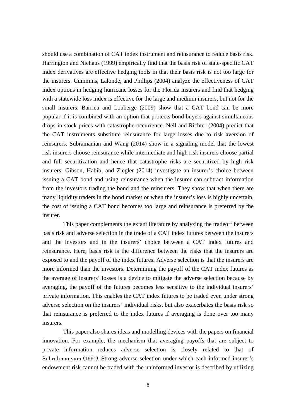should use a combination of CAT index instrument and reinsurance to reduce basis risk. Harrington and Niehaus (1999) empirically find that the basis risk of state-specific CAT index derivatives are effective hedging tools in that their basis risk is not too large for the insurers. Cummins, Lalonde, and Phillips (2004) analyze the effectiveness of CAT index options in hedging hurricane losses for the Florida insurers and find that hedging with a statewide loss index is effective for the large and medium insurers, but not for the small insurers. Barrieu and Louberge (2009) show that a CAT bond can be more popular if it is combined with an option that protects bond buyers against simultaneous drops in stock prices with catastrophe occurrence. Nell and Richter (2004) predict that the CAT instruments substitute reinsurance for large losses due to risk aversion of reinsurers. Subramanian and Wang (2014) show in a signaling model that the lowest risk insurers choose reinsurance while intermediate and high risk insurers choose partial and full securitization and hence that catastrophe risks are securitized by high risk insurers. Gibson, Habib, and Ziegler (2014) investigate an insurer's choice between issuing a CAT bond and using reinsurance when the insurer can subtract information from the investors trading the bond and the reinsurers. They show that when there are many liquidity traders in the bond market or when the insurer's loss is highly uncertain, the cost of issuing a CAT bond becomes too large and reinsurance is preferred by the insurer.

This paper complements the extant literature by analyzing the tradeoff between basis risk and adverse selection in the trade of a CAT index futures between the insurers and the investors and in the insurers' choice between a CAT index futures and reinsurance. Here, basis risk is the difference between the risks that the insurers are exposed to and the payoff of the index futures. Adverse selection is that the insurers are more informed than the investors. Determining the payoff of the CAT index futures as the average of insurers' losses is a device to mitigate the adverse selection because by averaging, the payoff of the futures becomes less sensitive to the individual insurers' private information. This enables the CAT index futures to be traded even under strong adverse selection on the insurers' individual risks, but also exacerbates the basis risk so that reinsurance is preferred to the index futures if averaging is done over too many insurers.

This paper also shares ideas and modelling devices with the papers on financial innovation. For example, the mechanism that averaging payoffs that are subject to private information reduces adverse selection is closely related to that of Subrahmanyam (1991). Strong adverse selection under which each informed insurer's endowment risk cannot be traded with the uninformed investor is described by utilizing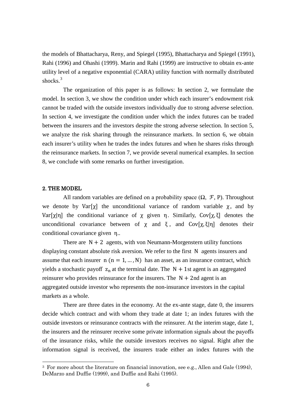the models of Bhattacharya, Reny, and Spiegel (1995), Bhattacharya and Spiegel (1991), Rahi (1996) and Ohashi (1999). Marin and Rahi (1999) are instructive to obtain ex-ante utility level of a negative exponential (CARA) utility function with normally distributed shocks.<sup>[3](#page-6-0)</sup>

The organization of this paper is as follows: In section 2, we formulate the model. In section 3, we show the condition under which each insurer's endowment risk cannot be traded with the outside investors individually due to strong adverse selection. In section 4, we investigate the condition under which the index futures can be traded between the insurers and the investors despite the strong adverse selection. In section 5, we analyze the risk sharing through the reinsurance markets. In section 6, we obtain each insurer's utility when he trades the index futures and when he shares risks through the reinsurance markets. In section 7, we provide several numerical examples. In section 8, we conclude with some remarks on further investigation.

#### 2. THE MODEL

All random variables are defined on a probability space  $(\Omega, \mathcal{F}, P)$ . Throughout we denote by  $Var[y]$  the unconditional variance of random variable  $\chi$ , and by Var[x|η] the conditional variance of x given η. Similarly, Cov[x, ξ] denotes the unconditional covariance between of  $\chi$  and  $\xi$ , and  $Cov[\chi,\xi|\eta]$  denotes their conditional covariance given η..

There are  $N + 2$  agents, with von Neumann-Morgenstern utility functions displaying constant absolute risk aversion. We refer to the first N agents insurers and assume that each insurer  $n (n = 1, ..., N)$  has an asset, as an insurance contract, which yields a stochastic payoff  $z_n$  at the terminal date. The  $N + 1$ st agent is an aggregated reinsurer who provides reinsurance for the insurers. The  $N + 2nd$  agent is an aggregated outside investor who represents the non-insurance investors in the capital markets as a whole.

There are three dates in the economy. At the ex-ante stage, date 0, the insurers decide which contract and with whom they trade at date 1; an index futures with the outside investors or reinsurance contracts with the reinsurer. At the interim stage, date 1, the insurers and the reinsurer receive some private information signals about the payoffs of the insurance risks, while the outside investors receives no signal. Right after the information signal is received, the insurers trade either an index futures with the

<span id="page-6-0"></span> <sup>3</sup> For more about the literature on financial innovation, see e.g., Allen and Gale (1994), DeMarzo and Duffie (1999), and Duffie and Rahi (1995).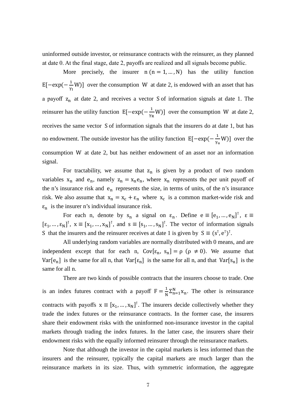uninformed outside investor, or reinsurance contracts with the reinsurer, as they planned at date 0. At the final stage, date 2, payoffs are realized and all signals become public.

More precisely, the insurer  $n (n = 1, ..., N)$  has the utility function E[ $-exp(-\frac{1}{\gamma_1}W)$ ] over the consumption W at date 2, is endowed with an asset that has a payoff  $z_n$  at date 2, and receives a vector S of information signals at date 1. The reinsurer has the utility function  $E[-exp(-\frac{1}{\gamma_R}W)]$  over the consumption W at date 2, receives the same vector S of information signals that the insurers do at date 1, but has no endowment. The outside investor has the utility function  $E[-exp(-\frac{1}{\gamma_u}W)]$  over the consumption W at date 2, but has neither endowment of an asset nor an information signal.

For tractability, we assume that  $z_n$  is given by a product of two random variables  $x_n$  and  $e_n$ , namely  $z_n = x_ne_n$ , where  $x_n$  represents the per unit payoff of the n's insurance risk and  $e_n$  represents the size, in terms of units, of the n's insurance risk. We also assume that  $x_n = x_c + \varepsilon_n$  where  $x_c$  is a common market-wide risk and  $\varepsilon_n$  is the insurer n's individual insurance risk.

For each n, denote by  $s_n$  a signal on  $\varepsilon_n$ . Define  $e \equiv [e_1, ..., e_N]^T$ ,  $\varepsilon \equiv$  $[\epsilon_1, ..., \epsilon_N]^T$ ,  $x \equiv [x_1, ..., x_N]^T$ , and  $s \equiv [s_1, ..., s_N]^T$ . The vector of information signals S that the insurers and the reinsurer receives at date 1 is given by  $S \equiv (s^{\dagger}, e^{\dagger})^{\dagger}$ .

All underlying random variables are normally distributed with 0 means, and are independent except that for each n,  $Cov[\epsilon_n, s_n] = \rho (\rho \neq 0)$ . We assume that Var[e<sub>n</sub>] is the same for all n, that Var[ $\epsilon_n$ ] is the same for all n, and that Var[ $s_n$ ] is the same for all n.

There are two kinds of possible contracts that the insurers choose to trade. One is an index futures contract with a payoff  $F = \frac{1}{N} \sum_{n=1}^{N} x_n$ . The other is reinsurance contracts with payoffs  $x \equiv [x_1, ..., x_N]^\top$ . The insurers decide collectively whether they trade the index futures or the reinsurance contracts. In the former case, the insurers share their endowment risks with the uninformed non-insurance investor in the capital markets through trading the index futures. In the latter case, the insurers share their endowment risks with the equally informed reinsurer through the reinsurance markets.

Note that although the investor in the capital markets is less informed than the insurers and the reinsurer, typically the capital markets are much larger than the reinsurance markets in its size. Thus, with symmetric information, the aggregate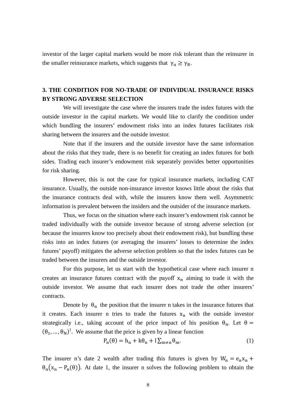investor of the larger capital markets would be more risk tolerant than the reinsurer in the smaller reinsurance markets, which suggests that  $\gamma_{\text{u}} \ge \gamma_{\text{R}}$ .

## **3. THE CONDITION FOR NO-TRADE OF INDIVIDUAL INSURANCE RISKS BY STRONG ADVERSE SELECTION**

We will investigate the case where the insurers trade the index futures with the outside investor in the capital markets. We would like to clarify the condition under which bundling the insurers' endowment risks into an index futures facilitates risk sharing between the insurers and the outside investor.

Note that if the insurers and the outside investor have the same information about the risks that they trade, there is no benefit for creating an index futures for both sides. Trading each insurer's endowment risk separately provides better opportunities for risk sharing.

However, this is not the case for typical insurance markets, including CAT insurance. Usually, the outside non-insurance investor knows little about the risks that the insurance contracts deal with, while the insurers know them well. Asymmetric information is prevalent between the insiders and the outsider of the insurance markets.

Thus, we focus on the situation where each insurer's endowment risk cannot be traded individually with the outside investor because of strong adverse selection (or because the insurers know too precisely about their endowment risk), but bundling these risks into an index futures (or averaging the insurers' losses to determine the index futures' payoff) mitigates the adverse selection problem so that the index futures can be traded between the insurers and the outside investor.

For this purpose, let us start with the hypothetical case where each insurer n creates an insurance futures contract with the payoff  $x_n$  aiming to trade it with the outside investor. We assume that each insurer does not trade the other insurers' contracts.

Denote by  $\theta_n$  the position that the insurer n takes in the insurance futures that it creates. Each insurer n tries to trade the futures  $x_n$  with the outside investor strategically i.e., taking account of the price impact of his position  $\theta_n$ . Let  $\theta =$  $(\theta_1, ..., \theta_N)^\dagger$ . We assume that the price is given by a linear function

$$
P_n(\theta) = h_n + k\theta_n + l \sum_{m \neq n} \theta_m.
$$
 (1)

The insurer n's date 2 wealth after trading this futures is given by  $W_n = e_n x_n +$  $\theta_n(x_n - P_n(\theta))$ . At date 1, the insurer n solves the following problem to obtain the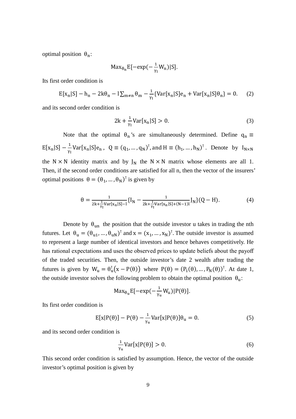optimal position  $θ_n$ :

$$
Max_{\theta_n}E[-\exp(-\frac{1}{\gamma_1}W_n)|S].
$$

Its first order condition is

$$
E[x_n|S] - h_n - 2k\theta_n - l \sum_{m \neq n} \theta_m - \frac{1}{\gamma_1} \{ Var[x_n|S]e_n + Var[x_n|S] \theta_n \} = 0. \tag{2}
$$

and its second order condition is

$$
2k + \frac{1}{\gamma_1} \text{Var}[x_n|S] > 0. \tag{3}
$$

Note that the optimal  $\theta_n$ 's are simultaneously determined. Define  $q_n \equiv$  $E[x_n|S] - \frac{1}{\gamma_I} \text{Var}[x_n|S]e_n, \ Q \equiv (q_1, ..., q_N)^T, \text{and } H \equiv (h_1, ..., h_N)^T.$  Denote by  $I_{N \times N}$ the N  $\times$  N identity matrix and by  $J_N$  the N  $\times$  N matrix whose elements are all 1. Then, if the second order conditions are satisfied for all n, then the vector of the insurers' optimal positions  $\theta = (\theta_1, ..., \theta_N)^T$  is given by

$$
\theta = \frac{1}{2k + \frac{1}{\gamma_I} \text{Var}[x_n|S] - 1} \{ I_N - \frac{1}{2k + \frac{1}{\gamma_I} \text{Var}[x_n|S] + (N-1)I} J_N \} (Q - H). \tag{4}
$$

Denote by  $\theta_{un}$  the position that the outside investor u takes in trading the nth futures. Let  $\theta_u = (\theta_{u1}, ..., \theta_{uN})^T$  and  $x = (x_1, ..., x_N)^T$ . The outside investor is assumed to represent a large number of identical investors and hence behaves competitively. He has rational expectations and uses the observed prices to update beliefs about the payoff of the traded securities. Then, the outside investor's date 2 wealth after trading the futures is given by  $W_u = \theta_u^T(x - P(\theta))$  where  $P(\theta) = (P_1(\theta), ..., P_N(\theta))^T$ . At date 1, the outside investor solves the following problem to obtain the optimal position  $\theta_u$ :

$$
Max_{\theta_{u}}E[-exp(-\frac{1}{\gamma_{u}}W_{u})|P(\theta)].
$$

Its first order condition is

$$
E[x|P(\theta)] - P(\theta) - \frac{1}{\gamma_u} \text{Var}[x|P(\theta)]\theta_u = 0. \tag{5}
$$

and its second order condition is

$$
\frac{1}{\gamma_u} \text{Var}[x|P(\theta)] > 0. \tag{6}
$$

This second order condition is satisfied by assumption. Hence, the vector of the outside investor's optimal position is given by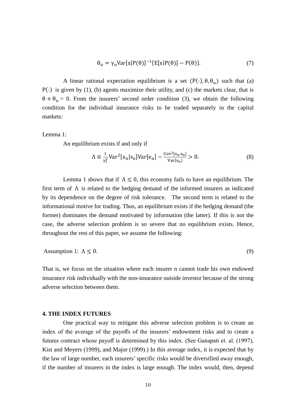$$
\theta_{\mathbf{u}} = \gamma_{\mathbf{u}} \text{Var}[\mathbf{x}|\mathbf{P}(\theta)]^{-1} \{\mathbf{E}[\mathbf{x}|\mathbf{P}(\theta)] - \mathbf{P}(\theta)\}.
$$
 (7)

A linear rational expectation equilibrium is a set  $(P(\cdot), \theta, \theta_{\rm u})$  such that (a)  $P(\cdot)$  is given by (1), (b) agents maximize their utility, and (c) the markets clear, that is  $\theta + \theta_u = 0$ . From the insurers' second order condition (3), we obtain the following condition for the individual insurance risks to be traded separately in the capital markets:

Lemma 1:

An equilibrium exists if and only if

$$
\Lambda \equiv \frac{1}{\gamma_1^2} \text{Var}^2[\mathbf{x}_n | \mathbf{s}_n] \text{Var}[\mathbf{e}_n] - \frac{\text{Cov}^2[\mathbf{\varepsilon}_n, \mathbf{s}_n]}{\text{Var}[\mathbf{s}_n]} > 0. \tag{8}
$$

Lemma 1 shows that if  $\Lambda \leq 0$ , this economy fails to have an equilibrium. The first term of Λ is related to the hedging demand of the informed insurers as indicated by its dependence on the degree of risk tolerance. The second term is related to the informational motive for trading. Thus, an equilibrium exists if the hedging demand (the former) dominates the demand motivated by information (the latter). If this is not the case, the adverse selection problem is so severe that no equilibrium exists. Hence, throughout the rest of this paper, we assume the following:

Assumption 1: 
$$
\Lambda \leq 0
$$
. (9)

That is, we focus on the situation where each insurer n cannot trade his own endowed insurance risk individually with the non-insurance outside investor because of the strong adverse selection between them.

#### **4. THE INDEX FUTURES**

One practical way to mitigate this adverse selection problem is to create an index of the average of the payoffs of the insurers' endowment risks and to create a futures contract whose payoff is determined by this index. (See Ganapati et. al. (1997), Kist and Meyers (1999), and Major (1999).) In this average index, it is expected that by the law of large number, each insurers' specific risks would be diversified away enough, if the number of insurers in the index is large enough. The index would, then, depend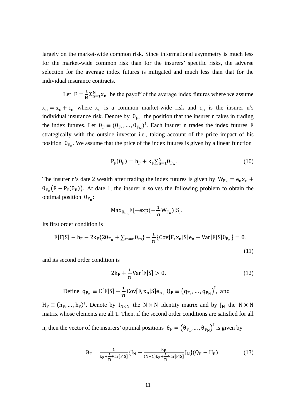largely on the market-wide common risk. Since informational asymmetry is much less for the market-wide common risk than for the insurers' specific risks, the adverse selection for the average index futures is mitigated and much less than that for the individual insurance contracts.

Let  $F = \frac{1}{N} \sum_{n=1}^{N} x_n$  be the payoff of the average index futures where we assume

 $x_n = x_c + \varepsilon_n$  where  $x_c$  is a common market-wide risk and  $\varepsilon_n$  is the insurer n's individual insurance risk. Denote by  $\theta_{F_n}$  the position that the insurer n takes in trading the index futures. Let  $\theta_F \equiv (\theta_{F_1}, ..., \theta_{F_N})^T$ . Each insurer n trades the index futures F strategically with the outside investor i.e., taking account of the price impact of his position  $\theta_{F_n}$ . We assume that the price of the index futures is given by a linear function

$$
P_{\mathcal{F}}(\theta_{\mathcal{F}}) = h_{\mathcal{F}} + k_{\mathcal{F}} \sum_{n=1}^{N} \theta_{F_n}.
$$
\n(10)

The insurer n's date 2 wealth after trading the index futures is given by  $W_{F_n} = e_n x_n +$  $\theta_{F_n}(F - P_F(\theta_F))$ . At date 1, the insurer n solves the following problem to obtain the optimal position  $θ_{F_n}$ :

$$
\text{Max}_{\theta_{F_n}} E[-\exp(-\frac{1}{\gamma_I}W_{F_n})|S].
$$

Its first order condition is

$$
E[F|S] - h_F - 2k_F\{2\theta_{F_n} + \sum_{m \neq n} \theta_m\} - \frac{1}{\gamma_I} \{Cov[F, x_n|S]e_n + Var[F|S]\theta_{F_n}\} = 0.
$$
\n(11)

and its second order condition is

$$
2k_{F} + \frac{1}{\gamma_{I}} \text{Var}[F|S] > 0. \tag{12}
$$

Define 
$$
q_{F_n} \equiv E[F|S] - \frac{1}{\gamma_I} Cov[F, x_n|S]e_n
$$
,  $Q_F \equiv (q_{F_1}, \dots, q_{F_N})^T$ , and

 $H_F \equiv (h_F, ..., h_F)$ <sup>T</sup>. Denote by  $I_{N \times N}$  the  $N \times N$  identity matrix and by  $J_N$  the  $N \times N$ matrix whose elements are all 1. Then, if the second order conditions are satisfied for all n, then the vector of the insurers' optimal positions  $\theta_F = (\theta_{F_1}, ..., \theta_{F_N})^T$  is given by

$$
\Theta_{F} = \frac{1}{k_{F} + \frac{1}{\gamma_{I}} \text{Var}[F|S]} \{I_{N} - \frac{k_{F}}{(N+1)k_{F} + \frac{1}{\gamma_{I}} \text{Var}[F|S]} J_{N} \} (Q_{F} - H_{F}).
$$
(13)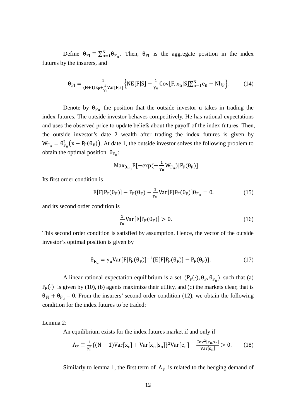Define  $\theta_{FI} \equiv \sum_{n=1}^{N} \theta_{F_n}$ . Then,  $\theta_{FI}$  is the aggregate position in the index futures by the insurers, and

$$
\theta_{FI} = \frac{1}{(N+1)k_{F} + \frac{1}{\gamma_{I}}Var[F|s]} \Big\{ NE[F|S] - \frac{1}{\gamma_{u}}Cov[F, x_{n}|S] \sum_{n=1}^{N} e_{n} - Nh_{F} \Big\}.
$$
 (14)

Denote by  $\theta_{Fu}$  the position that the outside investor u takes in trading the index futures. The outside investor behaves competitively. He has rational expectations and uses the observed price to update beliefs about the payoff of the index futures. Then, the outside investor's date 2 wealth after trading the index futures is given by  $W_{F_u} = \theta_{F_u}^{\dagger}(x - P_F(\theta_F))$ . At date 1, the outside investor solves the following problem to obtain the optimal position  $\theta_{F_{\text{u}}}$ :

$$
\text{Max}_{\theta_{F_u}}E[-\exp(-\frac{1}{\gamma_u}W_{F_u})|P_F(\theta_F)].
$$

Its first order condition is

$$
E[F|P_F(\theta_F)] - P_F(\theta_F) - \frac{1}{\gamma_u} Var[F|P_F(\theta_F)]\theta_{F_u} = 0.
$$
 (15)

and its second order condition is

$$
\frac{1}{\gamma_{\rm u}} \text{Var}[\mathbf{F}|\mathbf{P}_{\rm F}(\theta_{\rm F})] > 0. \tag{16}
$$

This second order condition is satisfied by assumption. Hence, the vector of the outside investor's optimal position is given by

$$
\theta_{\mathrm{F}_{\mathrm{u}}} = \gamma_{\mathrm{u}} \mathrm{Var}[\mathrm{F}|\mathrm{P}_{\mathrm{F}}(\theta_{\mathrm{F}})]^{-1} \{\mathrm{E}[\mathrm{F}|\mathrm{P}_{\mathrm{F}}(\theta_{\mathrm{F}})] - \mathrm{P}_{\mathrm{F}}(\theta_{\mathrm{F}})\}.
$$
\n(17)

A linear rational expectation equilibrium is a set  $(P_F(\cdot), \theta_F, \theta_{F_u})$  such that (a)  $P_F(\cdot)$  is given by (10), (b) agents maximize their utility, and (c) the markets clear, that is  $\theta_{FI} + \theta_{F_{II}} = 0$ . From the insurers' second order condition (12), we obtain the following condition for the index futures to be traded:

Lemma 2:

An equilibrium exists for the index futures market if and only if

$$
\Lambda_{\rm F} \equiv \frac{1}{\gamma_{\rm I}^2} \{ (N-1) \text{Var}[\mathbf{x}_{\rm c}] + \text{Var}[\mathbf{x}_{\rm n} | \mathbf{s}_{\rm n}] \}^2 \text{Var}[\mathbf{e}_{\rm n}] - \frac{\text{Cov}^2[\mathbf{\varepsilon}_{\rm n}, \mathbf{s}_{\rm n}]}{\text{Var}[\mathbf{s}_{\rm n}]} > 0. \tag{18}
$$

Similarly to lemma 1, the first term of  $\Lambda_F$  is related to the hedging demand of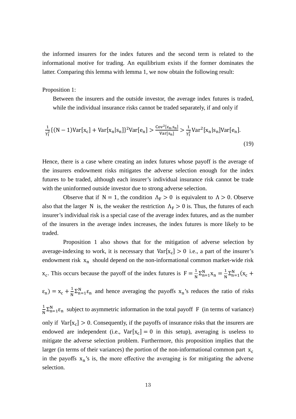the informed insurers for the index futures and the second term is related to the informational motive for trading. An equilibrium exists if the former dominates the latter. Comparing this lemma with lemma 1, we now obtain the following result:

Proposition 1:

Between the insurers and the outside investor, the average index futures is traded, while the individual insurance risks cannot be traded separately, if and only if

$$
\frac{1}{\gamma_1^2} \{ (N-1) \text{Var}[x_c] + \text{Var}[x_n | s_n] \}^2 \text{Var}[e_n] > \frac{\text{Cov}^2[\varepsilon_n, s_n]}{\text{Var}[s_n]} > \frac{1}{\gamma_1^2} \text{Var}^2[x_n | s_n] \text{Var}[e_n].\tag{19}
$$

Hence, there is a case where creating an index futures whose payoff is the average of the insurers endowment risks mitigates the adverse selection enough for the index futures to be traded, although each insurer's individual insurance risk cannot be trade with the uninformed outside investor due to strong adverse selection.

Observe that if  $N = 1$ , the condition  $\Lambda_F > 0$  is equivalent to  $\Lambda > 0$ . Observe also that the larger N is, the weaker the restriction  $\Lambda_F > 0$  is. Thus, the futures of each insurer's individual risk is a special case of the average index futures, and as the number of the insurers in the average index increases, the index futures is more likely to be traded.

Proposition 1 also shows that for the mitigation of adverse selection by average-indexing to work, it is necessary that  $Var[x_c] > 0$  i.e., a part of the insurer's endowment risk  $x_n$  should depend on the non-informational common market-wide risk  $x_c$ . This occurs because the payoff of the index futures is  $F = \frac{1}{N} \sum_{n=1}^{N} x_n = \frac{1}{N} \sum_{n=1}^{N} (x_c +$  $\varepsilon_n$ ) =  $x_c + \frac{1}{N} \sum_{n=1}^{N} \varepsilon_n$  and hence averaging the payoffs  $x_n$ 's reduces the ratio of risks 1  $\frac{1}{N} \sum_{n=1}^{N} \varepsilon_n$  subject to asymmetric information in the total payoff F (in terms of variance) only if  $Var[x_c] > 0$ . Consequently, if the payoffs of insurance risks that the insurers are endowed are independent (i.e.,  $Var[x_c] = 0$  in this setup), averaging is useless to mitigate the adverse selection problem. Furthermore, this proposition implies that the larger (in terms of their variances) the portion of the non-informational common part  $x_c$ in the payoffs  $x_n$ 's is, the more effective the averaging is for mitigating the adverse selection.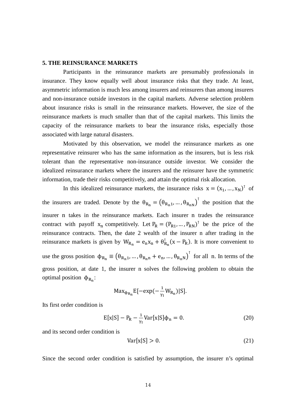#### **5. THE REINSURANCE MARKETS**

Participants in the reinsurance markets are presumably professionals in insurance. They know equally well about insurance risks that they trade. At least, asymmetric information is much less among insurers and reinsurers than among insurers and non-insurance outside investors in the capital markets. Adverse selection problem about insurance risks is small in the reinsurance markets. However, the size of the reinsurance markets is much smaller than that of the capital markets. This limits the capacity of the reinsurance markets to bear the insurance risks, especially those associated with large natural disasters.

Motivated by this observation, we model the reinsurance markets as one representative reinsurer who has the same information as the insurers, but is less risk tolerant than the representative non-insurance outside investor. We consider the idealized reinsurance markets where the insurers and the reinsurer have the symmetric information, trade their risks competitively, and attain the optimal risk allocation.

In this idealized reinsurance markets, the insurance risks  $x = (x_1, ..., x_N)^\top$  of the insurers are traded. Denote by the  $\theta_{R_n} = (\theta_{R_n1}, ..., \theta_{R_nN})^T$  the position that the insurer n takes in the reinsurance markets. Each insurer n trades the reinsurance contract with payoff  $x_n$  competitively. Let  $P_R = (P_{R1}, ..., P_{RN})^T$  be the price of the reinsurance contracts. Then, the date 2 wealth of the insurer n after trading in the reinsurance markets is given by  $W_{R_n} = e_n x_n + \theta_{R_n}^{\dagger} (x - P_R)$ . It is more convenient to use the gross position  $\phi_{R_n} \equiv (\theta_{R_n1}, ..., \theta_{R_nn} + e_n, ..., \theta_{R_nn})^{\dagger}$  for all n. In terms of the gross position, at date 1, the insurer n solves the following problem to obtain the optimal position  $φ_{R_n}$ :

$$
\text{Max}_{\Phi_{R_n}} E[-\exp(-\frac{1}{\gamma_I}W_{R_n})|S].
$$

Its first order condition is

$$
E[x|S] - P_R - \frac{1}{\gamma_I} \text{Var}[x|S] \Phi_n = 0. \tag{20}
$$

and its second order condition is

$$
Var[x|S] > 0. \tag{21}
$$

Since the second order condition is satisfied by assumption, the insurer n's optimal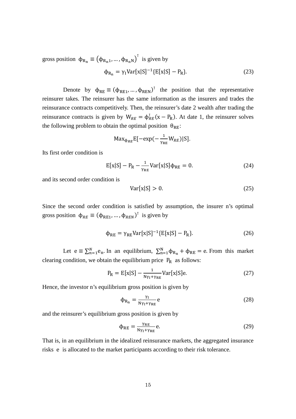gross position  $\phi_{R_n} \equiv (\phi_{R_n1}, ..., \phi_{R_nN})^T$  is given by

$$
\Phi_{\mathbf{R}_{\mathbf{n}}} = \gamma_{\mathbf{I}} \text{Var}[\mathbf{x}|\mathbf{S}]^{-1} \{ \mathbf{E}[\mathbf{x}|\mathbf{S}] - \mathbf{P}_{\mathbf{R}} \}.
$$
\n(23)

Denote by  $\phi_{RE} \equiv (\phi_{RE1}, ..., \phi_{REN})^T$  the position that the representative reinsurer takes. The reinsurer has the same information as the insurers and trades the reinsurance contracts competitively. Then, the reinsurer's date 2 wealth after trading the reinsurance contracts is given by  $W_{RE} = \phi_{RE}^{\dagger}(x - P_R)$ . At date 1, the reinsurer solves the following problem to obtain the optimal position  $\theta_{RE}$ :

$$
Max_{\Phi_{RE}}E[-exp(-\frac{1}{\gamma_{RE}}W_{RE})|S].
$$

Its first order condition is

$$
E[x|S] - P_R - \frac{1}{\gamma_{RE}} \text{Var}[x|S] \Phi_{RE} = 0. \tag{24}
$$

and its second order condition is

$$
Var[x|S] > 0.
$$
\n<sup>(25)</sup>

Since the second order condition is satisfied by assumption, the insurer n's optimal gross position  $\phi_{RE} \equiv (\phi_{RE1}, ..., \phi_{REN})^T$  is given by

$$
\Phi_{\rm RE} = \gamma_{\rm RE} \text{Var}[\mathbf{x}|\mathbf{S}]^{-1} \{ \mathbf{E}[\mathbf{x}|\mathbf{S}] - \mathbf{P}_{\rm R} \}. \tag{26}
$$

Let  $e = \sum_{n=1}^{N} e_n$ . In an equilibrium,  $\sum_{n=1}^{N} \phi_{R_n} + \phi_{RE} = e$ . From this market clearing condition, we obtain the equilibrium price  $P_R$  as follows:

$$
P_R = E[x|S] - \frac{1}{N\gamma_I + \gamma_{RE}} Var[x|S]e.
$$
 (27)

Hence, the investor n's equilibrium gross position is given by

$$
\Phi_{\mathcal{R}_{\mathcal{n}}} = \frac{\gamma_{\mathcal{I}}}{N\gamma_{\mathcal{I}} + \gamma_{\mathcal{R}E}} e
$$
 (28)

and the reinsurer's equilibrium gross position is given by

$$
\Phi_{\rm RE} = \frac{\gamma_{\rm RE}}{N\gamma_{\rm I} + \gamma_{\rm RE}} \,\mathrm{e.}\tag{29}
$$

That is, in an equilibrium in the idealized reinsurance markets, the aggregated insurance risks e is allocated to the market participants according to their risk tolerance.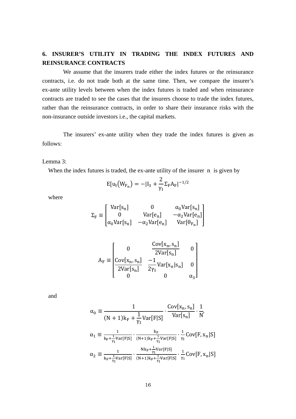## **6. INSURER'S UTILITY IN TRADING THE INDEX FUTURES AND REINSURANCE CONTRACTS**

We assume that the insurers trade either the index futures or the reinsurance contracts, i.e. do not trade both at the same time. Then, we compare the insurer's ex-ante utility levels between when the index futures is traded and when reinsurance contracts are traded to see the cases that the insurers choose to trade the index futures, rather than the reinsurance contracts, in order to share their insurance risks with the non-insurance outside investors i.e., the capital markets.

The insurers' ex-ante utility when they trade the index futures is given as follows:

Lemma 3:

When the index futures is traded, the ex-ante utility of the insurer n is given by

$$
E[u_I\big(W_{F_n}\big)=-|I_3+\frac{2}{\gamma_I}\Sigma_F A_F|^{-1/2}
$$

where

$$
\Sigma_{\rm F} \equiv \begin{bmatrix} Var[s_{\rm n}] & 0 & \alpha_0 Var[s_{\rm n}] \\ 0 & Var[e_{\rm n}] & -\alpha_2 Var[e_{\rm n}] \\ \alpha_0 Var[s_{\rm n}] & -\alpha_2 Var[e_{\rm n}] & Var[\theta_{\rm F_{\rm n}}] \end{bmatrix}
$$

$$
A_F \equiv \begin{bmatrix} 0 & \frac{\text{Cov}[x_n, s_n]}{2\text{Var}[s_n]} & 0\\ \frac{\text{Cov}[x_n, s_n]}{2\text{Var}[s_n]} & \frac{-1}{2\gamma_I} \text{Var}[x_n|s_n] & 0\\ 0 & 0 & \alpha_3 \end{bmatrix}
$$

and

$$
\alpha_0 \equiv \frac{1}{(N+1)k_F + \frac{1}{\gamma_I}Var[F|S]} \cdot \frac{Cov[x_n, s_n]}{Var[s_n]} \cdot \frac{1}{N'}
$$

$$
\alpha_1 \equiv \frac{1}{k_F + \frac{1}{\gamma_I}Var[F|S]} \cdot \frac{1}{(N+1)k_F + \frac{1}{\gamma_I}Var[F|S]} \cdot \frac{1}{\gamma_I}Cov[F, x_n|S]
$$

$$
\alpha_2 \equiv \frac{1}{k_F + \frac{1}{\gamma_I}Var[F|S]} \cdot \frac{Nk_F + \frac{1}{\gamma_I}Var[F|S]}{(N+1)k_F + \frac{1}{\gamma_I}Var[F|S]} \cdot \frac{1}{\gamma_I}Cov[F, x_n|S]
$$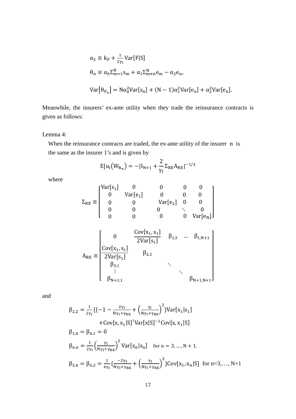$$
\alpha_3 \equiv k_F + \frac{1}{2\gamma_I} \text{Var}[F|S]
$$
  
\n
$$
\theta_n \equiv \alpha_0 \Sigma_{m=1}^N s_m + \alpha_1 \Sigma_{m\neq n}^N e_m - \alpha_2 e_n,
$$
  
\n
$$
\text{Var}[\theta_{F_n}] = \text{N}\alpha_0^2 \text{Var}[s_n] + (\text{N} - 1)\alpha_1^2 \text{Var}[e_n] + \alpha_2^2 \text{Var}[e_n].
$$

Meanwhile, the insurers' ex-ante utility when they trade the reinsurance contracts is given as follows:

Lemma 4:

When the reinsurance contracts are traded, the ex-ante utility of the insurer n is the same as the insurer 1's and is given by

$$
E[u_{I}(W_{R_{n}}) = -|I_{N+1} + \frac{2}{\gamma_{I}} \Sigma_{RE} A_{RE}|^{-1/2}
$$

where

$$
\Sigma_{RE} \equiv \begin{bmatrix} Var[s_1] & 0 & 0 & 0 & 0 \\ 0 & Var[e_1] & 0 & 0 & 0 \\ 0 & 0 & Var[e_2] & 0 & 0 \\ 0 & 0 & 0 & \ddots & 0 \\ 0 & 0 & 0 & 0 & Var[e_N] \end{bmatrix}
$$

$$
A_{RE} \equiv \begin{bmatrix} 0 & \frac{Cov[x_1, s_1]}{2Var[s_1]} & \beta_{1,3} & \dots & \beta_{1,N+1} \\ \frac{Cov[x_1, s_1]}{2Var[s_1]} & \beta_{2,2} & & \\ \beta_{3,1} & & \ddots & \\ & & \vdots & & \ddots \\ \beta_{N+1,1} & & & \beta_{N+1,N+1} \end{bmatrix}
$$

and

$$
\beta_{2,2} = \frac{1}{2\gamma_I} \left[ \{-1 - \frac{2\gamma_I}{N\gamma_I + \gamma_{RE}} + \left( \frac{\gamma_I}{N\gamma_I + \gamma_{RE}} \right)^2 \right\} \text{Var}[x_1 | s_1] + \text{Cov}[x, x_1 | S]^T \text{Var}[x | S]^{-1} \text{Cov}[x, x_1 | S]
$$
  

$$
\beta_{1,n} = \beta_{n,1} = 0
$$
  

$$
\beta_{n,n} = \frac{1}{2\gamma_I} \left( \frac{\gamma_I}{N\gamma_I + \gamma_{RE}} \right)^2 \text{Var}[x_n | s_n] \quad \text{for } n = 3, ..., N + 1.
$$
  

$$
\beta_{2,n} = \beta_{n,2} = \frac{1}{4\gamma_I} \left\{ \frac{-2\gamma_I}{N\gamma_I + \gamma_{RE}} + \left( \frac{\gamma_I}{N\gamma_I + \gamma_{RE}} \right)^2 \right\} \text{Cov}[x_1, x_n | S] \quad \text{for } n = 3, ..., N + 1
$$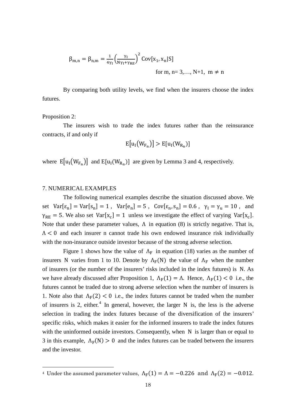$$
\beta_{m,n} = \beta_{n,m} = \frac{1}{4\gamma_I} \left(\frac{\gamma_I}{N\gamma_I + \gamma_{RE}}\right)^2 \text{Cov}[x_1, x_n | S]
$$
  
for m, n = 3,..., N+1, m \ne n

By comparing both utility levels, we find when the insurers choose the index futures.

#### Proposition 2:

1

The insurers wish to trade the index futures rather than the reinsurance contracts, if and only if

$$
E[u_I(W_{F_n})] > E[u_I(W_{R_n})]
$$

where  $E[u_I(W_{F_n})]$  and  $E[u_I(W_{F_n})]$  are given by Lemma 3 and 4, respectively.

#### 7. NUMERICAL EXAMPLES

The following numerical examples describe the situation discussed above. We set  $Var[\epsilon_n] = Var[s_n] = 1$ ,  $Var[e_n] = 5$ ,  $Cov[\epsilon_n, s_n] = 0.6$ ,  $\gamma_i = \gamma_u = 10$ , and  $\gamma_{RE} = 5$ . We also set Var[x<sub>c</sub>] = 1 unless we investigate the effect of varying Var[x<sub>c</sub>]. Note that under these parameter values,  $\Lambda$  in equation (8) is strictly negative. That is,  $\Lambda$  < 0 and each insurer n cannot trade his own endowed insurance risk individually with the non-insurance outside investor because of the strong adverse selection.

Figure 1 shows how the value of  $\Lambda_F$  in equation (18) varies as the number of insurers N varies from 1 to 10. Denote by  $\Lambda_F(N)$  the value of  $\Lambda_F$  when the number of insurers (or the number of the insurers' risks included in the index futures) is N. As we have already discussed after Proposition 1,  $\Lambda_F(1) = \Lambda$ . Hence,  $\Lambda_F(1) < 0$  i.e., the futures cannot be traded due to strong adverse selection when the number of insurers is 1. Note also that  $\Lambda_F(2)$  < 0 i.e., the index futures cannot be traded when the number of insurers is 2, either.<sup>[4](#page-18-0)</sup> In general, however, the larger N is, the less is the adverse selection in trading the index futures because of the diversification of the insurers' specific risks, which makes it easier for the informed insurers to trade the index futures with the uninformed outside investors. Consequently, when N is larger than or equal to 3 in this example,  $\Lambda_F(N) > 0$  and the index futures can be traded between the insurers and the investor.

<span id="page-18-0"></span><sup>&</sup>lt;sup>4</sup> Under the assumed parameter values,  $\Lambda_F(1) = \Lambda = -0.226$  and  $\Lambda_F(2) = -0.012$ .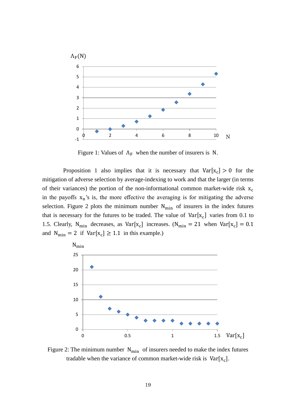

Figure 1: Values of  $\Lambda_F$  when the number of insurers is N.

Proposition 1 also implies that it is necessary that  $Var[x_c] > 0$  for the mitigation of adverse selection by average-indexing to work and that the larger (in terms of their variances) the portion of the non-informational common market-wide risk  $x_c$ in the payoffs  $x_n$ 's is, the more effective the averaging is for mitigating the adverse selection. Figure 2 plots the minimum number  $N_{\text{min}}$  of insurers in the index futures that is necessary for the futures to be traded. The value of  $Var[x_c]$  varies from 0.1 to 1.5. Clearly, N<sub>min</sub> decreases, as Var[x<sub>c</sub>] increases. (N<sub>min</sub> = 21 when Var[x<sub>c</sub>] = 0.1 and  $N_{\text{min}} = 2$  if  $Var[x_c] \ge 1.1$  in this example.)



Figure 2: The minimum number  $N_{\text{min}}$  of insurers needed to make the index futures tradable when the variance of common market-wide risk is  $Var[x_c]$ .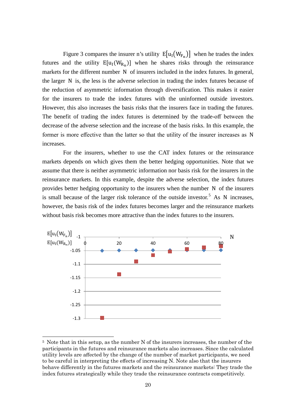Figure 3 compares the insurer n's utility  $E[u_1(W_{F_n})]$  when he trades the index futures and the utility  $E[u_1(W_{R_n})]$  when he shares risks through the reinsurance markets for the different number N of insurers included in the index futures. In general, the larger N is, the less is the adverse selection in trading the index futures because of the reduction of asymmetric information through diversification. This makes it easier for the insurers to trade the index futures with the uninformed outside investors. However, this also increases the basis risks that the insurers face in trading the futures. The benefit of trading the index futures is determined by the trade-off between the decrease of the adverse selection and the increase of the basis risks. In this example, the former is more effective than the latter so that the utility of the insurer increases as N increases.

For the insurers, whether to use the CAT index futures or the reinsurance markets depends on which gives them the better hedging opportunities. Note that we assume that there is neither asymmetric information nor basis risk for the insurers in the reinsurance markets. In this example, despite the adverse selection, the index futures provides better hedging opportunity to the insurers when the number N of the insurers is small because of the larger risk tolerance of the outside investor.<sup>[5](#page-20-0)</sup> As N increases, however, the basis risk of the index futures becomes larger and the reinsurance markets without basis risk becomes more attractive than the index futures to the insurers.



<span id="page-20-0"></span> <sup>5</sup> Note that in this setup, as the number N of the insurers increases, the number of the participants in the futures and reinsurance markets also increases. Since the calculated utility levels are affected by the change of the number of market participants, we need to be careful in interpreting the effects of increasing N. Note also that the insurers behave differently in the futures markets and the reinsurance markets: They trade the index futures strategically while they trade the reinsurance contracts competitively.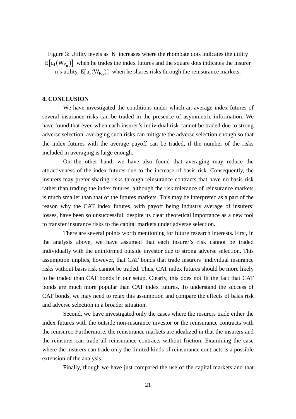Figure 3: Utility levels as N increases where the rhombate dots indicates the utility  $E[u_I(W_{F_n})]$  when he trades the index futures and the square dots indicates the insurer n's utility  $E[u_I(W_{R_n})]$  when he shares risks through the reinsurance markets.

#### **8. CONCLUSION**

We have investigated the conditions under which an average index futures of several insurance risks can be traded in the presence of asymmetric information. We have found that even when each insurer's individual risk cannot be traded due to strong adverse selection, averaging such risks can mitigate the adverse selection enough so that the index futures with the average payoff can be traded, if the number of the risks included in averaging is large enough.

On the other hand, we have also found that averaging may reduce the attractiveness of the index futures due to the increase of basis risk. Consequently, the insurers may prefer sharing risks through reinsurance contracts that have no basis risk rather than trading the index futures, although the risk tolerance of reinsurance markets is much smaller than that of the futures markets. This may be interpreted as a part of the reason why the CAT index futures, with payoff being industry average of insurers' losses, have been so unsuccessful, despite its clear theoretical importance as a new tool to transfer insurance risks to the capital markets under adverse selection.

There are several points worth mentioning for future research interests. First, in the analysis above, we have assumed that each insurer's risk cannot be traded individually with the uninformed outside investor due to strong adverse selection. This assumption implies, however, that CAT bonds that trade insurers' individual insurance risks without basis risk cannot be traded. Thus, CAT index futures should be more likely to be traded than CAT bonds in our setup. Clearly, this does not fit the fact that CAT bonds are much more popular than CAT index futures. To understand the success of CAT bonds, we may need to relax this assumption and compare the effects of basis risk and adverse selection in a broader situation.

Second, we have investigated only the cases where the insurers trade either the index futures with the outside non-insurance investor or the reinsurance contracts with the reinsurer. Furthermore, the reinsurance markets are idealized in that the insurers and the reinsurer can trade all reinsurance contracts without friction. Examining the case where the insurers can trade only the limited kinds of reinsurance contracts is a possible extension of the analysis.

Finally, though we have just compared the use of the capital markets and that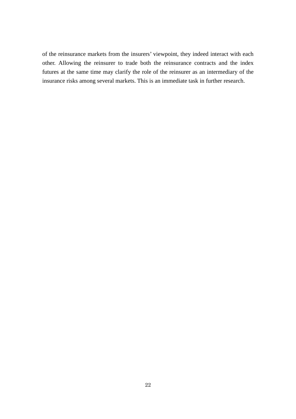of the reinsurance markets from the insurers' viewpoint, they indeed interact with each other. Allowing the reinsurer to trade both the reinsurance contracts and the index futures at the same time may clarify the role of the reinsurer as an intermediary of the insurance risks among several markets. This is an immediate task in further research.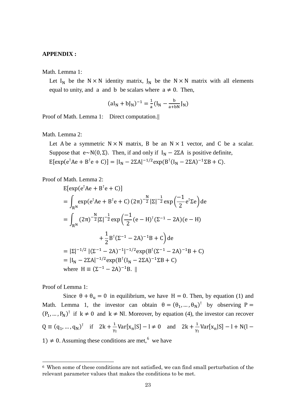#### **APPENDIX :**

Math. Lemma 1:

Let I<sub>N</sub> be the N × N identity matrix,  $J_N$  be the N × N matrix with all elements equal to unity, and a and b be scalars where  $a \neq 0$ . Then,

$$
(aI_N + bJ_N)^{-1} = \frac{1}{a}(I_N - \frac{b}{a+bN}J_N)
$$

Proof of Math. Lemma 1: Direct computation.||

Math. Lemma 2:

Let A be a symmetric  $N \times N$  matrix, B be an  $N \times 1$  vector, and C be a scalar. Suppose that e~N(0, Σ). Then, if and only if  $I_N - 2\Sigma A$  is positive definite, E[exp(e<sup>T</sup>Ae + B<sup>T</sup>e + C)] = |I<sub>N</sub> - 2ΣA|<sup>-1/2</sup>exp(B<sup>T</sup>(I<sub>N</sub> - 2ΣA)<sup>-1</sup>ΣB + C).

Proof of Math. Lemma 2:

$$
E[exp(e^{T}Ae + B^{T}e + C)]
$$
  
=  $\int_{R^{N}} exp(e^{T}Ae + B^{T}e + C) (2\pi)^{-\frac{N}{2}} |\Sigma|^{-\frac{1}{2}} exp(\frac{-1}{2}e^{T}\Sigma e) de$   
=  $\int_{R^{N}} (2\pi)^{-\frac{N}{2}} |\Sigma|^{-\frac{1}{2}} exp(\frac{-1}{2}(e - H)^{T}(\Sigma^{-1} - 2A)(e - H) + \frac{1}{2} B^{T}(\Sigma^{-1} - 2A)^{-1}B + C) de$   
=  $|\Sigma|^{-1/2} |(\Sigma^{-1} - 2A)^{-1}|^{-1/2} exp(B^{T}(\Sigma^{-1} - 2A)^{-1}B + C)$   
=  $|I_{N} - 2\Sigma A|^{-1/2} exp(B^{T} (I_{N} - 2\Sigma A)^{-1} \Sigma B + C)$   
where  $H = (\Sigma^{-1} - 2A)^{-1}B$ . ||

Proof of Lemma 1:

Since  $\theta + \theta_u = 0$  in equilibrium, we have  $H = 0$ . Then, by equation (1) and Math. Lemma 1, the investor can obtain  $\theta = (\theta_1, ..., \theta_N)^T$  by observing P =  $(P_1, ..., P_N)^\dagger$  if  $k \neq 0$  and  $k \neq N!$ . Moreover, by equation (4), the investor can recover  $Q = (q_1, ..., q_N)^T$  if  $2k + \frac{1}{\gamma_I} \text{Var}[x_n | S] - l \neq 0$  and  $2k + \frac{1}{\gamma_I} \text{Var}[x_n | S] - l + N(l -$ 1) ≠ 0. Assuming these conditions are met,<sup>[6](#page-23-0)</sup> we have

<span id="page-23-0"></span> <sup>6</sup> When some of these conditions are not satisfied, we can find small perturbation of the relevant parameter values that makes the conditions to be met.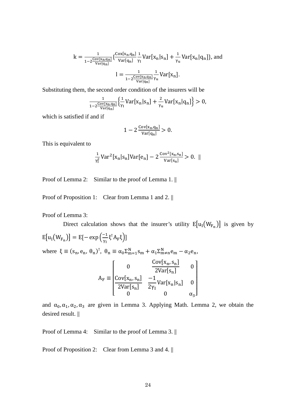$$
k = \frac{1}{1 - 2\frac{\text{Cov}[x_n, q_n]}{\text{Var}[q_n]}} \left\{ \frac{\text{Cov}[x_n, q_n]}{\text{Var}[q_n]} \frac{1}{\gamma_I} \text{Var}[x_n | s_n] + \frac{1}{\gamma_u} \text{Var}[x_n | q_n] \right\}, \text{and}
$$

$$
l = \frac{1}{1 - 2\frac{\text{Cov}[x_n, q_n]}{\text{Var}[q_n]}} \frac{1}{\gamma_u} \text{Var}[x_n].
$$

Substituting them, the second order condition of the insurers will be

$$
\frac{1}{1-2\frac{\text{Cov}[x_n, q_n]}{\text{Var}[q_n]}}\Big\{\frac{1}{\gamma_I} \text{Var}[x_n|s_n] + \frac{2}{\gamma_u} \text{Var}[x_n|q_n]\Big\} > 0,
$$

which is satisfied if and if

$$
1-2\frac{\mathrm{Cov}[x_n,q_n]}{\mathrm{Var}[q_n]}>0.
$$

This is equivalent to

$$
\frac{1}{\gamma_1^2} \text{Var}^2[x_n|s_n] \text{Var}[e_n] - 2 \frac{\text{Cov}^2[x_n, s_n]}{\text{Var}[s_n]} > 0. \ \ ||
$$

Proof of Lemma 2: Similar to the proof of Lemma 1. ||

Proof of Proposition 1: Clear from Lemma 1 and 2. ||

Proof of Lemma 3:

Direct calculation shows that the insurer's utility  $E[u_I(W_{F_n})]$  is given by

 $E[u_I(W_{F_n})] = E[-\exp(\frac{-1}{\gamma_I})]$  $\frac{1}{\gamma_I}$ ξ<sup>T</sup> $A_F$ ξ)] where  $\xi \equiv (s_n, e_n, \theta_n)^T$ ,  $\theta_n \equiv \alpha_0 \Sigma_{m=1}^N s_m + \alpha_1 \Sigma_{m=n}^N e_m - \alpha_2 e_n$ ,  $A_F \equiv$ ⎢ ⎢ ⎢  $\begin{vmatrix} 1 & 0 \\ 0 & 0 \end{vmatrix}$  $Cov[x_n, s_n]$  $\overline{2Var[s_n]}$  0  $Cov[x_n, s_n]$ 2Var[s<sub>n</sub>] −1 2γI  $Var[x_n|S_n] = 0$ ⎥ ⎥ ⎥ ⎤

and 
$$
\alpha_0, \alpha_1, \alpha_2, \alpha_3
$$
 are given in Lemma 3. Applying Math. Lemma 2, we obtain the desired result.  $\parallel$ 

0  $\alpha_3$ 

⎥

Proof of Lemma 4: Similar to the proof of Lemma 3. ||

⎣ ⎢

Proof of Proposition 2: Clear from Lemma 3 and 4. ||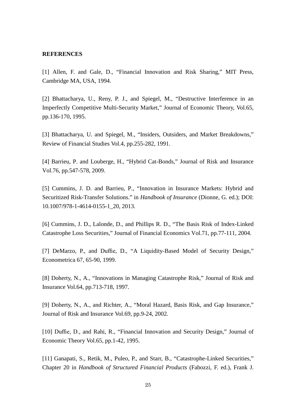#### **REFERENCES**

[1] Allen, F. and Gale, D., "Financial Innovation and Risk Sharing," MIT Press, Cambridge MA, USA, 1994.

[2] Bhattacharya, U., Reny, P. J., and Spiegel, M., "Destructive Interference in an Imperfectly Competitive Multi-Security Market," Journal of Economic Theory, Vol.65, pp.136-170, 1995.

[3] Bhattacharya, U. and Spiegel, M., "Insiders, Outsiders, and Market Breakdowns," Review of Financial Studies Vol.4, pp.255-282, 1991.

[4] Barrieu, P. and Louberge, H., "Hybrid Cat-Bonds," Journal of Risk and Insurance Vol.76, pp.547-578, 2009.

[5] Cummins, J. D. and Barrieu, P., "Innovation in Insurance Markets: Hybrid and Securitized Risk-Transfer Solutions." in *Handbook of Insurance* (Dionne, G. ed.); DOI: 10.1007/978-1-4614-0155-1\_20, 2013.

[6] Cummins, J. D., Lalonde, D., and Phillips R. D., "The Basis Risk of Index-Linked Catastrophe Loss Securities," Journal of Financial Economics Vol.71, pp.77-111, 2004.

[7] DeMarzo, P., and Duffie, D., "A Liquidity-Based Model of Security Design," Econometrica 67, 65-90, 1999.

[8] Doherty, N., A., "Innovations in Managing Catastrophe Risk," Journal of Risk and Insurance Vol.64, pp.713-718, 1997.

[9] Doherty, N., A., and Richter, A., "Moral Hazard, Basis Risk, and Gap Insurance," Journal of Risk and Insurance Vol.69, pp.9-24, 2002.

[10] Duffie, D., and Rahi, R., "Financial Innovation and Security Design," Journal of Economic Theory Vol.65, pp.1-42, 1995.

[11] Ganapati, S., Retik, M., Puleo, P., and Starr, B., "Catastrophe-Linked Securities," Chapter 20 in *Handbook of Structured Financial Products* (Fabozzi, F. ed.), Frank J.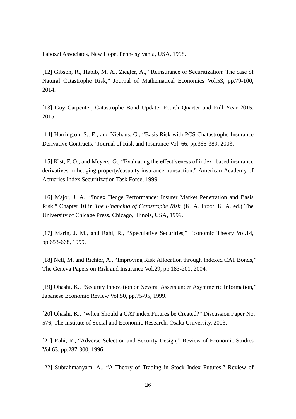Fabozzi Associates, New Hope, Penn- sylvania, USA, 1998.

[12] Gibson, R., Habib, M. A., Ziegler, A., "Reinsurance or Securitization: The case of Natural Catastrophe Risk," Journal of Mathematical Economics Vol.53, pp.79-100, 2014.

[13] Guy Carpenter, Catastrophe Bond Update: Fourth Quarter and Full Year 2015, 2015.

[14] Harrington, S., E., and Niehaus, G., "Basis Risk with PCS Chatastrophe Insurance Derivative Contracts," Journal of Risk and Insurance Vol. 66, pp.365-389, 2003.

[15] Kist, F. O., and Meyers, G., "Evaluating the effectiveness of index- based insurance derivatives in hedging property/casualty insurance transaction," American Academy of Actuaries Index Securitization Task Force, 1999.

[16] Major, J. A., "Index Hedge Performance: Insurer Market Penetration and Basis Risk," Chapter 10 in *The Financing of Catastrophe Risk*, (K. A. Froot, K. A. ed.) The University of Chicage Press, Chicago, Illinois, USA, 1999.

[17] Marin, J. M., and Rahi, R., "Speculative Securities," Economic Theory Vol.14, pp.653-668, 1999.

[18] Nell, M. and Richter, A., "Improving Risk Allocation through Indexed CAT Bonds," The Geneva Papers on Risk and Insurance Vol.29, pp.183-201, 2004.

[19] Ohashi, K., "Security Innovation on Several Assets under Asymmetric Information," Japanese Economic Review Vol.50, pp.75-95, 1999.

[20] Ohashi, K., "When Should a CAT index Futures be Created?" Discussion Paper No. 576, The Institute of Social and Economic Research, Osaka University, 2003.

[21] Rahi, R., "Adverse Selection and Security Design," Review of Economic Studies Vol.63, pp.287-300, 1996.

[22] Subrahmanyam, A., "A Theory of Trading in Stock Index Futures," Review of